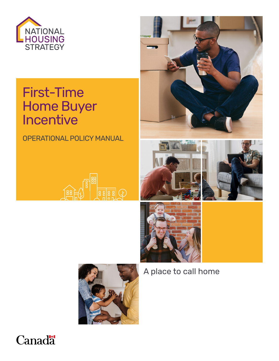

# First-Time Home Buyer Incentive

OPERATIONAL POLICY MANUAL













A place to call home

# **Canada**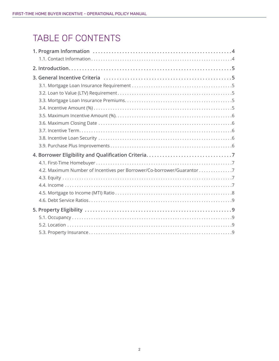### TABLE OF CONTENTS

| 4.2. Maximum Number of Incentives per Borrower/Co-borrower/Guarantor 7 |
|------------------------------------------------------------------------|
|                                                                        |
|                                                                        |
|                                                                        |
|                                                                        |
|                                                                        |
|                                                                        |
|                                                                        |
|                                                                        |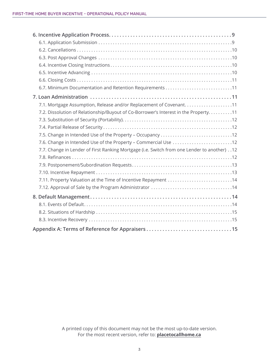| 7.2. Dissolution of Relationship/Buyout of Co-Borrower's Interest in the Property. 11      |
|--------------------------------------------------------------------------------------------|
|                                                                                            |
|                                                                                            |
| 7.5. Change in Intended Use of the Property - Occupancy 12                                 |
| 7.6. Change in Intended Use of the Property - Commercial Use 12                            |
| 7.7. Change in Lender of First Ranking Mortgage (i.e. Switch from one Lender to another)12 |
|                                                                                            |
|                                                                                            |
|                                                                                            |
| 7.11. Property Valuation at the Time of Incentive Repayment 14                             |
|                                                                                            |
|                                                                                            |
|                                                                                            |
|                                                                                            |
|                                                                                            |
|                                                                                            |

A printed copy of this document may not be the most up-to-date version. For the most recent version, refer to: **[placetocallhome.ca](https://www.placetocallhome.ca/)**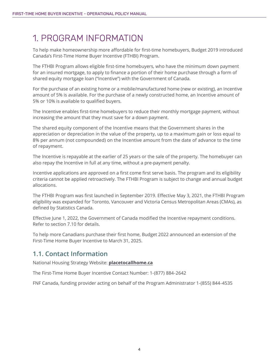### <span id="page-3-0"></span>1. PROGRAM INFORMATION

To help make homeownership more affordable for first-time homebuyers, Budget 2019 introduced Canada's First-Time Home Buyer Incentive (FTHBI) Program.

The FTHBI Program allows eligible first-time homebuyers, who have the minimum down payment for an insured mortgage, to apply to finance a portion of their home purchase through a form of shared equity mortgage loan ("Incentive") with the Government of Canada.

For the purchase of an existing home or a mobile/manufactured home (new or existing), an Incentive amount of 5% is available. For the purchase of a newly constructed home, an Incentive amount of 5% or 10% is available to qualified buyers.

The Incentive enables first-time homebuyers to reduce their monthly mortgage payment, without increasing the amount that they must save for a down payment.

The shared equity component of the Incentive means that the Government shares in the appreciation or depreciation in the value of the property, up to a maximum gain or loss equal to 8% per annum (not compounded) on the Incentive amount from the date of advance to the time of repayment.

The Incentive is repayable at the earlier of 25 years or the sale of the property. The homebuyer can also repay the Incentive in full at any time, without a pre-payment penalty.

Incentive applications are approved on a first come first serve basis. The program and its eligibility criteria cannot be applied retroactively. The FTHBI Program is subject to change and annual budget allocations.

The FTHBI Program was first launched in September 2019. Effective May 3, 2021, the FTHBI Program eligibility was expanded for Toronto, Vancouver and Victoria Census Metropolitan Areas (CMAs), as defined by Statistics Canada.

Effective June 1, 2022, the Government of Canada modified the Incentive repayment conditions. Refer to section 7.10 for details.

To help more Canadians purchase their first home, Budget 2022 announced an extension of the First-Time Home Buyer Incentive to March 31, 2025.

#### **1.1. Contact Information**

National Housing Strategy Website: **[placetocallhome.ca](https://www.placetocallhome.ca/)**

The First-Time Home Buyer Incentive Contact Number: 1-(877) 884-2642

FNF Canada, funding provider acting on behalf of the Program Administrator 1-(855) 844-4535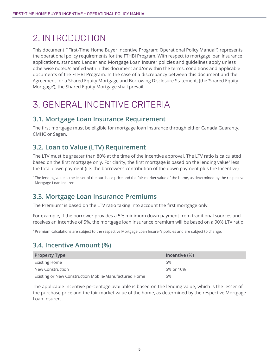### <span id="page-4-0"></span>2. INTRODUCTION

This document ("First-Time Home Buyer Incentive Program: Operational Policy Manual") represents the operational policy requirements for the FTHBI Program. With respect to mortgage loan insurance applications, standard Lender and Mortgage Loan Insurer policies and guidelines apply unless otherwise noted/clarified within this document and/or within the terms, conditions and applicable documents of the FTHBI Program. In the case of a discrepancy between this document and the Agreement for a Shared Equity Mortgage and Borrowing Disclosure Statement, (the 'Shared Equity Mortgage'), the Shared Equity Mortgage shall prevail.

### 3. GENERAL INCENTIVE CRITERIA

#### **3.1. Mortgage Loan Insurance Requirement**

The first mortgage must be eligible for mortgage loan insurance through either Canada Guaranty, CMHC or Sagen.

### **3.2. Loan to Value (LTV) Requirement**

The LTV must be greater than 80% at the time of the Incentive approval. The LTV ratio is calculated based on the first mortgage only. For clarity, the first mortgage is based on the lending value\* less the total down payment (i.e. the borrower's contribution of the down payment plus the Incentive).

\* The lending value is the lesser of the purchase price and the fair market value of the home, as determined by the respective Mortgage Loan Insurer.

#### **3.3. Mortgage Loan Insurance Premiums**

The Premium\* is based on the LTV ratio taking into account the first mortgage only.

For example, if the borrower provides a 5% minimum down payment from traditional sources and receives an Incentive of 5%, the mortgage loan insurance premium will be based on a 90% LTV ratio.

\* Premium calculations are subject to the respective Mortgage Loan Insurer's policies and are subject to change.

#### **3.4. Incentive Amount (%)**

| <b>Property Type</b>                                  | Incentive (%) |
|-------------------------------------------------------|---------------|
| <b>Existing Home</b>                                  | 5%            |
| New Construction                                      | 5% or 10%     |
| Existing or New Construction Mobile/Manufactured Home | 5%            |

The applicable Incentive percentage available is based on the lending value, which is the lesser of the purchase price and the fair market value of the home, as determined by the respective Mortgage Loan Insurer.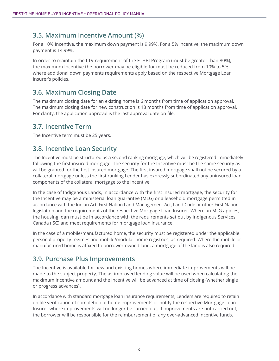#### <span id="page-5-0"></span>**3.5. Maximum Incentive Amount (%)**

For a 10% Incentive, the maximum down payment is 9.99%. For a 5% Incentive, the maximum down payment is 14.99%.

In order to maintain the LTV requirement of the FTHBI Program (must be greater than 80%), the maximum Incentive the borrower may be eligible for must be reduced from 10% to 5% where additional down payments requirements apply based on the respective Mortgage Loan Insurer's policies.

#### **3.6. Maximum Closing Date**

The maximum closing date for an existing home is 6 months from time of application approval. The maximum closing date for new construction is 18 months from time of application approval. For clarity, the application approval is the last approval date on file.

#### **3.7. Incentive Term**

The Incentive term must be 25 years.

#### **3.8. Incentive Loan Security**

The Incentive must be structured as a second ranking mortgage, which will be registered immediately following the first insured mortgage. The security for the Incentive must be the same security as will be granted for the first insured mortgage. The first insured mortgage shall not be secured by a collateral mortgage unless the first ranking Lender has expressly subordinated any uninsured loan components of the collateral mortgage to the Incentive.

In the case of Indigenous Lands, in accordance with the first insured mortgage, the security for the Incentive may be a ministerial loan guarantee (MLG) or a leasehold mortgage permitted in accordance with the Indian Act, First Nation Land Management Act, Land Code or other First Nation legislation and the requirements of the respective Mortgage Loan Insurer. Where an MLG applies, the housing loan must be in accordance with the requirements set out by Indigenous Services Canada (ISC) and meet requirements for mortgage loan insurance.

In the case of a mobile/manufactured home, the security must be registered under the applicable personal property regimes and mobile/modular home registries, as required. Where the mobile or manufactured home is affixed to borrower-owned land, a mortgage of the land is also required.

#### **3.9. Purchase Plus Improvements**

The Incentive is available for new and existing homes where immediate improvements will be made to the subject property. The as-improved lending value will be used when calculating the maximum Incentive amount and the Incentive will be advanced at time of closing (whether single or progress advances).

In accordance with standard mortgage loan insurance requirements, Lenders are required to retain on file verification of completion of home improvements or notify the respective Mortgage Loan Insurer where improvements will no longer be carried out. If improvements are not carried out, the borrower will be responsible for the reimbursement of any over-advanced Incentive funds.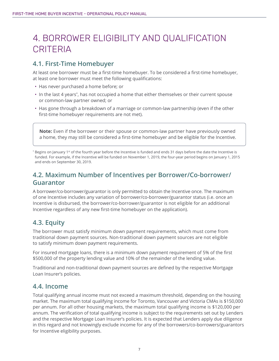### <span id="page-6-0"></span>4. BORROWER ELIGIBILITY AND QUALIFICATION **CRITERIA**

#### **4.1. First-Time Homebuyer**

At least one borrower must be a first-time homebuyer. To be considered a first-time homebuyer, at least one borrower must meet the following qualifications:

- Has never purchased a home before; or
- In the last 4 years\*, has not occupied a home that either themselves or their current spouse or common-law partner owned; or
- Has gone through a breakdown of a marriage or common-law partnership (even if the other first-time homebuyer requirements are not met).

**Note:** Even if the borrower or their spouse or common-law partner have previously owned a home, they may still be considered a first-time homebuyer and be eligible for the Incentive.

\* Begins on January 1st of the fourth year before the Incentive is funded and ends 31 days before the date the Incentive is funded. For example, if the Incentive will be funded on November 1, 2019, the four-year period begins on January 1, 2015 and ends on September 30, 2019.

#### **4.2. Maximum Number of Incentives per Borrower/Co-borrower/ Guarantor**

A borrower/co-borrower/guarantor is only permitted to obtain the Incentive once. The maximum of one Incentive includes any variation of borrower/co-borrower/guarantor status (i.e. once an Incentive is disbursed, the borrower/co-borrower/guarantor is not eligible for an additional Incentive regardless of any new first-time homebuyer on the application).

#### **4.3. Equity**

The borrower must satisfy minimum down payment requirements, which must come from traditional down payment sources. Non-traditional down payment sources are not eligible to satisfy minimum down payment requirements.

For insured mortgage loans, there is a minimum down payment requirement of 5% of the first \$500,000 of the property lending value and 10% of the remainder of the lending value.

Traditional and non-traditional down payment sources are defined by the respective Mortgage Loan Insurer's policies.

#### **4.4. Income**

Total qualifying annual income must not exceed a maximum threshold, depending on the housing market. The maximum total qualifying income for Toronto, Vancouver and Victoria CMAs is \$150,000 per annum. For all other housing markets, the maximum total qualifying income is \$120,000 per annum. The verification of total qualifying income is subject to the requirements set out by Lenders and the respective Mortgage Loan Insurer's policies. It is expected that Lenders apply due diligence in this regard and not knowingly exclude income for any of the borrowers/co-borrowers/guarantors for Incentive eligibility purposes.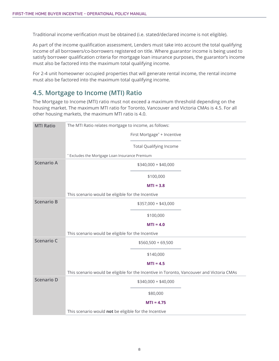<span id="page-7-0"></span>Traditional income verification must be obtained (i.e. stated/declared income is not eligible).

As part of the income qualification assessment, Lenders must take into account the total qualifying income of all borrowers/co-borrowers registered on title. Where guarantor income is being used to satisfy borrower qualification criteria for mortgage loan insurance purposes, the guarantor's income must also be factored into the maximum total qualifying income.

For 2-4 unit homeowner occupied properties that will generate rental income, the rental income must also be factored into the maximum total qualifying income.

#### **4.5. Mortgage to Income (MTI) Ratio**

The Mortgage to Income (MTI) ratio must not exceed a maximum threshold depending on the housing market. The maximum MTI ratio for Toronto, Vancouver and Victoria CMAs is 4.5. For all other housing markets, the maximum MTI ratio is 4.0.

| <b>MTI Ratio</b>  | The MTI Ratio relates mortgage to income, as follows:                                     |
|-------------------|-------------------------------------------------------------------------------------------|
|                   | First Mortgage* + Incentive                                                               |
|                   | <b>Total Qualifying Income</b>                                                            |
|                   | * Excludes the Mortgage Loan Insurance Premium                                            |
| <b>Scenario A</b> | $$340,000 + $40,000$                                                                      |
|                   | \$100,000                                                                                 |
|                   | $MTI = 3.8$                                                                               |
|                   | This scenario would be eligible for the Incentive                                         |
| <b>Scenario B</b> | \$357,000 + \$43,000                                                                      |
|                   | \$100,000                                                                                 |
|                   | $MTI = 4.0$                                                                               |
|                   | This scenario would be eligible for the Incentive                                         |
| Scenario C        | $$560,500 + 69,500$                                                                       |
|                   | \$140,000                                                                                 |
|                   | $MTI = 4.5$                                                                               |
|                   | This scenario would be eligible for the Incentive in Toronto, Vancouver and Victoria CMAs |
| <b>Scenario D</b> | $$340,000 + $40,000$                                                                      |
|                   | \$80,000                                                                                  |
|                   | $MTI = 4.75$                                                                              |
|                   | This scenario would not be eligible for the Incentive                                     |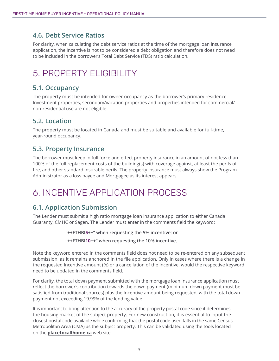#### <span id="page-8-0"></span>**4.6. Debt Service Ratios**

For clarity, when calculating the debt service ratios at the time of the mortgage loan insurance application, the Incentive is not to be considered a debt obligation and therefore does not need to be included in the borrower's Total Debt Service (TDS) ratio calculation.

### 5. PROPERTY ELIGIBILITY

#### **5.1. Occupancy**

The property must be intended for owner occupancy as the borrower's primary residence. Investment properties, secondary/vacation properties and properties intended for commercial/ non-residential use are not eligible.

#### **5.2. Location**

The property must be located in Canada and must be suitable and available for full-time, year-round occupancy.

#### **5.3. Property Insurance**

The borrower must keep in full force and effect property insurance in an amount of not less than 100% of the full replacement costs of the building(s) with coverage against, at least the perils of fire, and other standard insurable perils. The property insurance must always show the Program Administrator as a loss payee and Mortgagee as its interest appears.

### 6. INCENTIVE APPLICATION PROCESS

#### **6.1. Application Submission**

The Lender must submit a high ratio mortgage loan insurance application to either Canada Guaranty, CMHC or Sagen. The Lender must enter in the comments field the keyword:

#### **"++FTHBI5++" when requesting the 5% incentive; or**

**"++FTHBI10++" when requesting the 10% incentive.**

Note the keyword entered in the comments field does not need to be re-entered on any subsequent submission, as it remains anchored in the file application. Only in cases where there is a change in the requested Incentive amount (%) or a cancellation of the Incentive, would the respective keyword need to be updated in the comments field.

For clarity, the total down payment submitted with the mortgage loan insurance application must reflect the borrower's contribution towards the down payment (minimum down payment must be satisfied from traditional sources) plus the Incentive amount being requested, with the total down payment not exceeding 19.99% of the lending value.

It is important to bring attention to the accuracy of the property postal code since it determines the housing market of the subject property. For new construction, it is essential to input the closest postal code available while confirming that the postal code used falls in the same Census Metropolitan Area (CMA) as the subject property. This can be validated using the tools located on the **[placetocallhome.ca](https://www.placetocallhome.ca)** web site.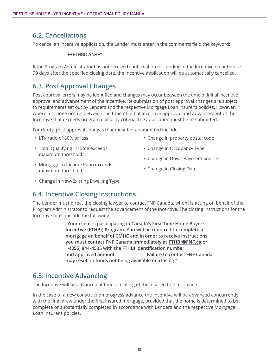#### <span id="page-9-0"></span>**6.2. Cancellations**

To cancel an Incentive application, the Lender must enter in the comments field the keyword:

**"++FTHBICAN++"**

If the Program Administrator has not received confirmation for funding of the Incentive on or before 90 days after the specified closing date, the Incentive application will be automatically cancelled.

#### **6.3. Post Approval Changes**

Post approval errors may be identified and changes may occur between the time of initial Incentive approval and advancement of the Incentive. Re-submission of post approval changes are subject to requirements set out by Lenders and the respective Mortgage Loan Insurer's policies. However, where a change occurs between the time of initial Incentive approval and advancement of the Incentive that exceeds program eligibility criteria, the application must be re-submitted.

For clarity, post approval changes that must be re-submitted include:

- LTV ratio of 80% or less
- Total Qualifying Income exceeds maximum threshold.
- Change in property postal code
- Change in Occupancy Type
- Change in Down Payment Source
- Mortgage to Income Ratio exceeds maximum threshold.
- Change in Closing Date
- Change in New/Existing Dwelling Type

#### **6.4. Incentive Closing Instructions**

The Lender must direct the closing lawyer to contact FNF Canada, whom is acting on behalf of the Program Administrator to request the advancement of the Incentive. The closing instructions for the Incentive must include the following:

> **"Your client is participating in Canada's First Time Home Buyer's Incentive (FTHBI) Program. You will be required to complete a mortgage on behalf of CMHC and in order to receive instructions you must contact FNF Canada immediately at [FTHBI@FNF.ca](mailto:FTHBI@FNF.ca) or 1-(855) 844-4535 with the FTHBI identification number and approved amount . Failure to contact FNF Canada may result in funds not being available on closing."**

#### **6.5. Incentive Advancing**

The Incentive will be advanced at time of closing of the insured first mortgage.

In the case of a new construction progress advance the Incentive will be advanced concurrently with the final draw under the first insured mortgage, provided that the home is determined to be complete or substantially completed in accordance with Lenders and the respective Mortgage Loan Insurer's policies.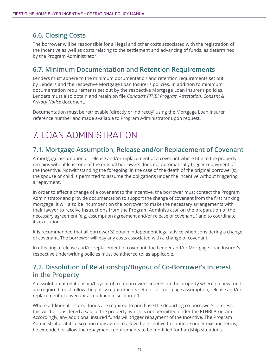#### <span id="page-10-0"></span>**6.6. Closing Costs**

The borrower will be responsible for all legal and other costs associated with the registration of the Incentive as well as costs relating to the settlement and advancing of funds, as determined by the Program Administrator.

#### **6.7. Minimum Documentation and Retention Requirements**

Lenders must adhere to the minimum documentation and retention requirements set out by Lenders and the respective Mortgage Loan Insurer's policies. In addition to minimum documentation requirements set out by the respective Mortgage Loan Insurer's policies, Lenders must also obtain and retain on file *Canada's FTHBI Program Attestation, Consent & Privacy Notice* document.

Documentation must be retrievable (directly or indirectly) using the Mortgage Loan Insurer reference number and made available to Program Administrator upon request.

## 7. LOAN ADMINISTRATION

#### **7.1. Mortgage Assumption, Release and/or Replacement of Covenant**

A mortgage assumption or release and/or replacement of a covenant where title to the property remains with at least one of the original borrowers does not automatically trigger repayment of the Incentive. Notwithstanding the foregoing, in the case of the death of the original borrower(s), the spouse or child is permitted to assume the obligations under the Incentive without triggering a repayment.

In order to effect a change of a covenant to the Incentive, the borrower must contact the Program Administrator and provide documentation to support the change of covenant from the first ranking mortgage. It will also be incumbent on the borrower to make the necessary arrangements with their lawyer to receive instructions from the Program Administrator on the preparation of the necessary agreement (e.g. assumption agreement and/or release of covenant, ) and to coordinate its execution.

It is recommended that all borrower(s) obtain independent legal advice when considering a change of covenant. The borrower will pay any costs associated with a change of covenant.

In effecting a release and/or replacement of covenant, the Lender and/or Mortgage Loan Insurer's respective underwriting policies must be adhered to, as applicable.

#### **7.2. Dissolution of Relationship/Buyout of Co-Borrower's Interest in the Property**

A dissolution of relationship/buyout of a co-borrower's interest in the property where no new funds are required must follow the policy requirements set out for mortgage assumption, release and/or replacement of covenant as outlined in section 7.1.

Where additional insured funds are required to purchase the departing co-borrower's interest, this will be considered a sale of the property, which is not permitted under the FTHBI Program. Accordingly, any additional insured funds will trigger repayment of the Incentive. The Program Administrator at its discretion may agree to allow the Incentive to continue under existing terms, be extended or allow the repayment requirements to be modified for hardship situations.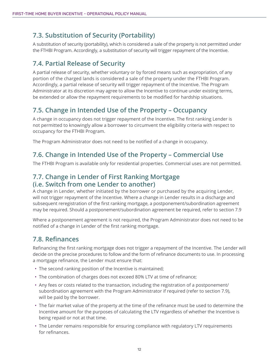#### <span id="page-11-0"></span>**7.3. Substitution of Security (Portability)**

A substitution of security (portability), which is considered a sale of the property is not permitted under the FTHBI Program. Accordingly, a substitution of security will trigger repayment of the Incentive.

#### **7.4. Partial Release of Security**

A partial release of security, whether voluntary or by forced means such as expropriation, of any portion of the charged lands is considered a sale of the property under the FTHBI Program. Accordingly, a partial release of security will trigger repayment of the Incentive. The Program Administrator at its discretion may agree to allow the Incentive to continue under existing terms, be extended or allow the repayment requirements to be modified for hardship situations.

#### **7.5. Change in Intended Use of the Property – Occupancy**

A change in occupancy does not trigger repayment of the Incentive. The first ranking Lender is not permitted to knowingly allow a borrower to circumvent the eligibility criteria with respect to occupancy for the FTHBI Program.

The Program Administrator does not need to be notified of a change in occupancy.

#### **7.6. Change in Intended Use of the Property – Commercial Use**

The FTHBI Program is available only for residential properties. Commercial uses are not permitted.

#### **7.7. Change in Lender of First Ranking Mortgage (i.e. Switch from one Lender to another)**

A change in Lender, whether initiated by the borrower or purchased by the acquiring Lender, will not trigger repayment of the Incentive. Where a change in Lender results in a discharge and subsequent reregistration of the first ranking mortgage, a postponement/subordination agreement may be required. Should a postponement/subordination agreement be required, refer to section 7.9

Where a postponement agreement is not required, the Program Administrator does not need to be notified of a change in Lender of the first ranking mortgage.

#### **7.8. Refinances**

Refinancing the first ranking mortgage does not trigger a repayment of the Incentive. The Lender will decide on the precise procedures to follow and the form of refinance documents to use. In processing a mortgage refinance, the Lender must ensure that:

- The second ranking position of the Incentive is maintained;
- The combination of charges does not exceed 80% LTV at time of refinance;
- Any fees or costs related to the transaction, including the registration of a postponement/ subordination agreement with the Program Administrator if required (refer to section 7.9), will be paid by the borrower.
- The fair market value of the property at the time of the refinance must be used to determine the Incentive amount for the purposes of calculating the LTV regardless of whether the Incentive is being repaid or not at that time.
- The Lender remains responsible for ensuring compliance with regulatory LTV requirements for refinances.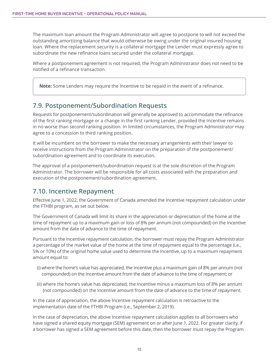<span id="page-12-0"></span>The maximum loan amount the Program Administrator will agree to postpone to will not exceed the outstanding amortizing balance that would otherwise be owing under the original insured housing loan. Where the replacement security is a collateral mortgage the Lender must expressly agree to subordinate the new refinance loans secured under the collateral mortgage.

Where a postponement agreement is not required, the Program Administrator does not need to be notified of a refinance transaction.

**Note:** Some Lenders may require the Incentive to be repaid in the event of a refinance.

#### **7.9. Postponement/Subordination Requests**

Requests for postponement/subordination will generally be approved to accommodate the refinance of the first ranking mortgage or a change in the first ranking Lender, provided the Incentive remains in no worse than second ranking position. In limited circumstances, the Program Administrator may agree to a concession to third ranking position.

It will be incumbent on the borrower to make the necessary arrangements with their lawyer to receive instructions from the Program Administrator on the preparation of the postponement/ subordination agreement and to coordinate its execution.

The approval of a postponement/subordination request is at the sole discretion of the Program Administrator. The borrower will be responsible for all costs associated with the preparation and execution of the postponement/subordination agreement.

#### **7.10. Incentive Repayment**

Effective June 1, 2022, the Government of Canada amended the Incentive repayment calculation under the FTHBI program, as set out below.

The Government of Canada will limit its share in the appreciation or depreciation of the home at the time of repayment up to a maximum gain or loss of 8% per annum (not compounded) on the Incentive amount from the date of advance to the time of repayment.

Pursuant to the Incentive repayment calculation, the borrower must repay the Program Administrator a percentage of the market value of the home at the time of repayment equal to the percentage (i.e., 5% or 10%) of the original home value used to determine the Incentive, up to a maximum repayment amount equal to:

- (i) where the home's value has appreciated, the Incentive plus a maximum gain of 8% per annum (not compounded) on the Incentive amount from the date of advance to the time of repayment; or
- (ii) where the home's value has depreciated, the Incentive minus a maximum loss of 8% per annum (not compounded) on the Incentive amount from the date of advance to the time of repayment.

In the case of appreciation, the above Incentive repayment calculation is retroactive to the implementation date of the FTHBI Program (i.e., September 2, 2019).

In the case of depreciation, the above Incentive repayment calculation applies to all borrowers who have signed a shared equity mortgage (SEM) agreement on or after June 1, 2022. For greater clarity, if a borrower has signed a SEM agreement before this date, then the borrower must repay the Program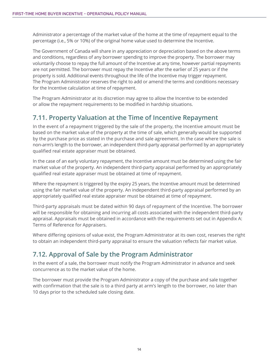<span id="page-13-0"></span>Administrator a percentage of the market value of the home at the time of repayment equal to the percentage (i.e., 5% or 10%) of the original home value used to determine the Incentive.

The Government of Canada will share in any appreciation or depreciation based on the above terms and conditions, regardless of any borrower spending to improve the property. The borrower may voluntarily choose to repay the full amount of the Incentive at any time, however partial repayments are not permitted. The borrower must repay the Incentive after the earlier of 25 years or if the property is sold. Additional events throughout the life of the Incentive may trigger repayment. The Program Administrator reserves the right to add or amend the terms and conditions necessary for the Incentive calculation at time of repayment.

The Program Administrator at its discretion may agree to allow the Incentive to be extended or allow the repayment requirements to be modified in hardship situations.

#### **7.11. Property Valuation at the Time of Incentive Repayment**

In the event of a repayment triggered by the sale of the property, the Incentive amount must be based on the market value of the property at the time of sale, which generally would be supported by the purchase price as stated in the purchase and sale agreement. In the case where the sale is non-arm's length to the borrower, an independent third-party appraisal performed by an appropriately qualified real estate appraiser must be obtained.

In the case of an early voluntary repayment, the Incentive amount must be determined using the fair market value of the property. An independent third-party appraisal performed by an appropriately qualified real estate appraiser must be obtained at time of repayment.

Where the repayment is triggered by the expiry 25 years, the Incentive amount must be determined using the fair market value of the property. An independent third-party appraisal performed by an appropriately qualified real estate appraiser must be obtained at time of repayment.

Third-party appraisals must be dated within 90 days of repayment of the Incentive. The borrower will be responsible for obtaining and incurring all costs associated with the independent third-party appraisal. Appraisals must be obtained in accordance with the requirements set out in Appendix A: Terms of Reference for Appraisers.

Where differing opinions of value exist, the Program Administrator at its own cost, reserves the right to obtain an independent third-party appraisal to ensure the valuation reflects fair market value.

#### **7.12. Approval of Sale by the Program Administrator**

In the event of a sale, the borrower must notify the Program Administrator in advance and seek concurrence as to the market value of the home.

The borrower must provide the Program Administrator a copy of the purchase and sale together with confirmation that the sale is to a third party at arm's length to the borrower, no later than 10 days prior to the scheduled sale closing date.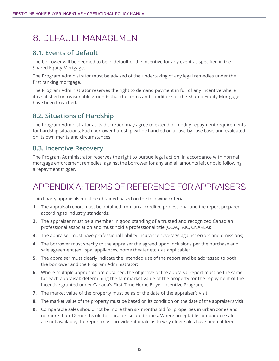### <span id="page-14-0"></span>8. DEFAULT MANAGEMENT

#### **8.1. Events of Default**

The borrower will be deemed to be in default of the Incentive for any event as specified in the Shared Equity Mortgage.

The Program Administrator must be advised of the undertaking of any legal remedies under the first ranking mortgage.

The Program Administrator reserves the right to demand payment in full of any Incentive where it is satisfied on reasonable grounds that the terms and conditions of the Shared Equity Mortgage have been breached.

#### **8.2. Situations of Hardship**

The Program Administrator at its discretion may agree to extend or modify repayment requirements for hardship situations. Each borrower hardship will be handled on a case-by-case basis and evaluated on its own merits and circumstances.

#### **8.3. Incentive Recovery**

The Program Administrator reserves the right to pursue legal action, in accordance with normal mortgage enforcement remedies, against the borrower for any and all amounts left unpaid following a repayment trigger.

### APPENDIX A: TERMS OF REFERENCE FOR APPRAISERS

Third-party appraisals must be obtained based on the following criteria:

- **1.** The appraisal report must be obtained from an accredited professional and the report prepared according to industry standards;
- **2.** The appraiser must be a member in good standing of a trusted and recognized Canadian professional association and must hold a professional title (OEAQ, AIC, CNAREA);
- **3.** The appraiser must have professional liability insurance coverage against errors and omissions;
- **4.** The borrower must specify to the appraiser the agreed upon inclusions per the purchase and sale agreement (ex.: spa, appliances, home theater etc.), as applicable;
- **5.** The appraiser must clearly indicate the intended use of the report and be addressed to both the borrower and the Program Administrator;
- **6.** Where multiple appraisals are obtained, the objective of the appraisal report must be the same for each appraisal: determining the fair market value of the property for the repayment of the Incentive granted under Canada's First-Time Home Buyer Incentive Program;
- **7.** The market value of the property must be as of the date of the appraiser's visit;
- **8.** The market value of the property must be based on its condition on the date of the appraiser's visit;
- **9.** Comparable sales should not be more than six months old for properties in urban zones and no more than 12 months old for rural or isolated zones. Where acceptable comparable sales are not available, the report must provide rationale as to why older sales have been utilized;